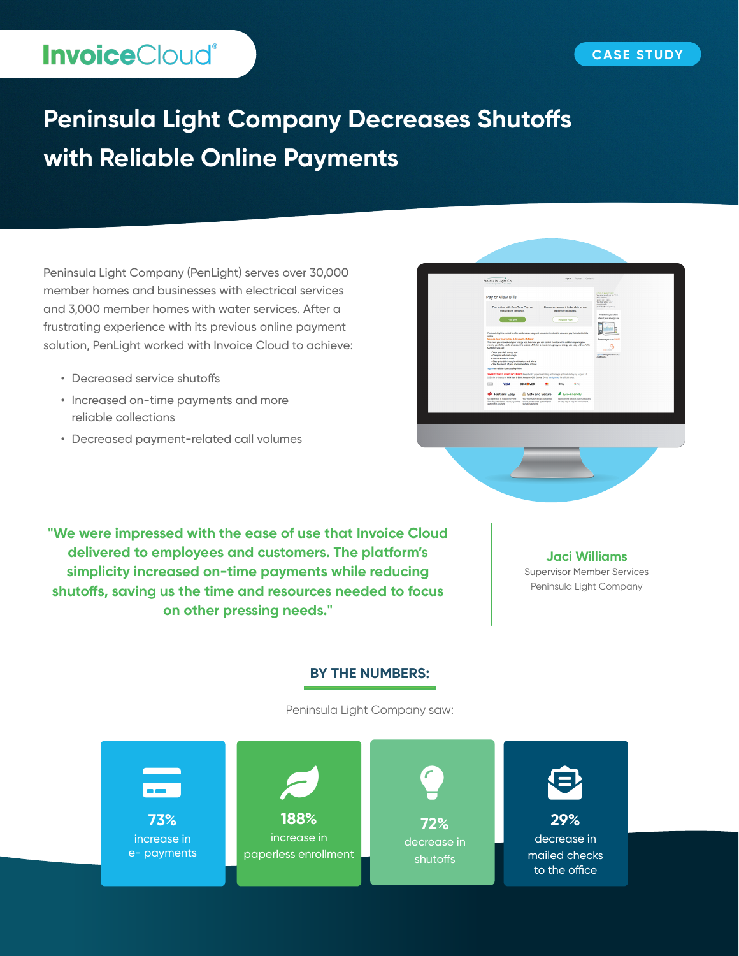# **InvoiceCloud®**

# **Peninsula Light Company Decreases Shutoffs with Reliable Online Payments**

Peninsula Light Company (PenLight) serves over 30,000 member homes and businesses with electrical services and 3,000 member homes with water services. After a frustrating experience with its previous online payment solution, PenLight worked with Invoice Cloud to achieve:

- Decreased service shutoffs
- Increased on-time payments and more reliable collections
- Decreased payment-related call volumes



**"We were impressed with the ease of use that Invoice Cloud delivered to employees and customers. The platform's simplicity increased on-time payments while reducing shutoffs, saving us the time and resources needed to focus on other pressing needs."**

#### **Jaci Williams**

Supervisor Member Services Peninsula Light Company

#### **BY THE NUMBERS:**

Peninsula Light Company saw: